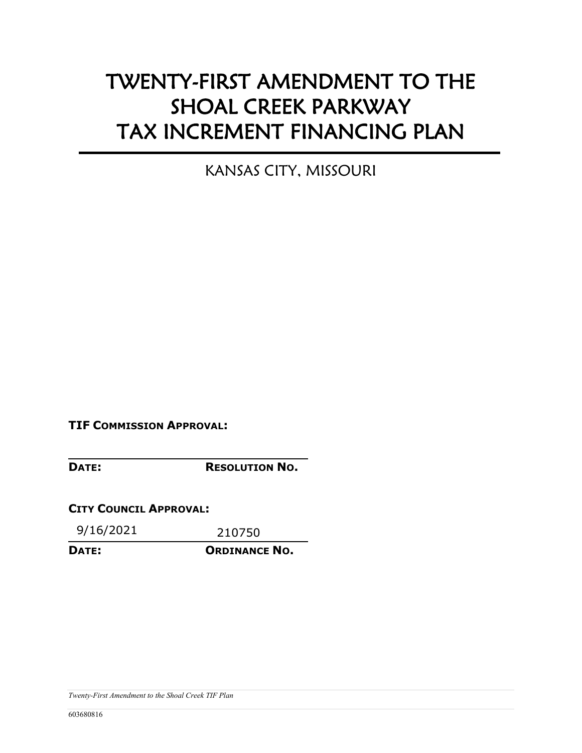# TWENTY-FIRST AMENDMENT TO THE SHOAL CREEK PARKWAY TAX INCREMENT FINANCING PLAN

KANSAS CITY, MISSOURI

**TIF COMMISSION APPROVAL:** 

**DATE: RESOLUTION NO.**

**CITY COUNCIL APPROVAL:** 

9/16/2021 210750

**DATE: ORDINANCE NO.**

*Twenty-First Amendment to the Shoal Creek TIF Plan*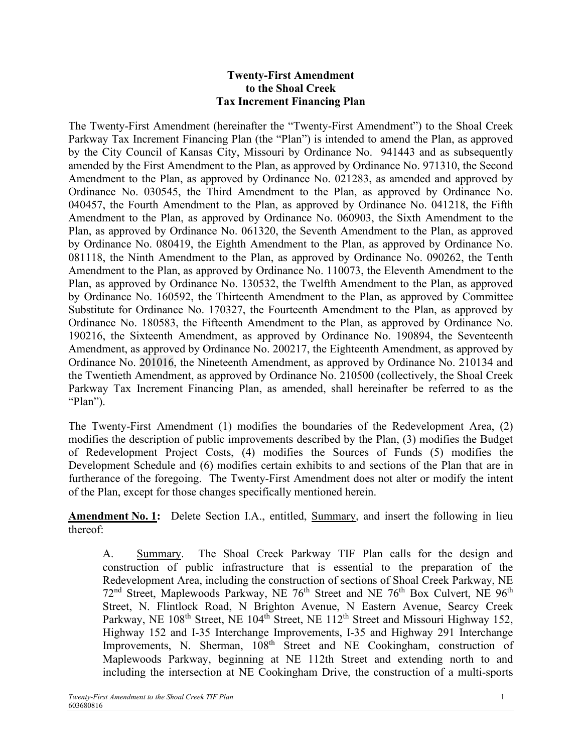#### **Twenty-First Amendment to the Shoal Creek Tax Increment Financing Plan**

The Twenty-First Amendment (hereinafter the "Twenty-First Amendment") to the Shoal Creek Parkway Tax Increment Financing Plan (the "Plan") is intended to amend the Plan, as approved by the City Council of Kansas City, Missouri by Ordinance No. 941443 and as subsequently amended by the First Amendment to the Plan, as approved by Ordinance No. 971310, the Second Amendment to the Plan, as approved by Ordinance No. 021283, as amended and approved by Ordinance No. 030545, the Third Amendment to the Plan, as approved by Ordinance No. 040457, the Fourth Amendment to the Plan, as approved by Ordinance No. 041218, the Fifth Amendment to the Plan, as approved by Ordinance No. 060903, the Sixth Amendment to the Plan, as approved by Ordinance No. 061320, the Seventh Amendment to the Plan, as approved by Ordinance No. 080419, the Eighth Amendment to the Plan, as approved by Ordinance No. 081118, the Ninth Amendment to the Plan, as approved by Ordinance No. 090262, the Tenth Amendment to the Plan, as approved by Ordinance No. 110073, the Eleventh Amendment to the Plan, as approved by Ordinance No. 130532, the Twelfth Amendment to the Plan, as approved by Ordinance No. 160592, the Thirteenth Amendment to the Plan, as approved by Committee Substitute for Ordinance No. 170327, the Fourteenth Amendment to the Plan, as approved by Ordinance No. 180583, the Fifteenth Amendment to the Plan, as approved by Ordinance No. 190216, the Sixteenth Amendment, as approved by Ordinance No. 190894, the Seventeenth Amendment, as approved by Ordinance No. 200217, the Eighteenth Amendment, as approved by Ordinance No. 201016, the Nineteenth Amendment, as approved by Ordinance No. 210134 and the Twentieth Amendment, as approved by Ordinance No. 210500 (collectively, the Shoal Creek Parkway Tax Increment Financing Plan, as amended, shall hereinafter be referred to as the "Plan").

The Twenty-First Amendment (1) modifies the boundaries of the Redevelopment Area, (2) modifies the description of public improvements described by the Plan, (3) modifies the Budget of Redevelopment Project Costs, (4) modifies the Sources of Funds (5) modifies the Development Schedule and (6) modifies certain exhibits to and sections of the Plan that are in furtherance of the foregoing. The Twenty-First Amendment does not alter or modify the intent of the Plan, except for those changes specifically mentioned herein.

**Amendment No. 1:** Delete Section I.A., entitled, Summary, and insert the following in lieu thereof:

A. Summary. The Shoal Creek Parkway TIF Plan calls for the design and construction of public infrastructure that is essential to the preparation of the Redevelopment Area, including the construction of sections of Shoal Creek Parkway, NE  $72<sup>nd</sup>$  Street, Maplewoods Parkway, NE  $76<sup>th</sup>$  Street and NE  $76<sup>th</sup>$  Box Culvert, NE  $96<sup>th</sup>$ Street, N. Flintlock Road, N Brighton Avenue, N Eastern Avenue, Searcy Creek Parkway, NE 108<sup>th</sup> Street, NE 104<sup>th</sup> Street, NE 112<sup>th</sup> Street and Missouri Highway 152, Highway 152 and I-35 Interchange Improvements, I-35 and Highway 291 Interchange Improvements, N. Sherman, 108<sup>th</sup> Street and NE Cookingham, construction of Maplewoods Parkway, beginning at NE 112th Street and extending north to and including the intersection at NE Cookingham Drive, the construction of a multi-sports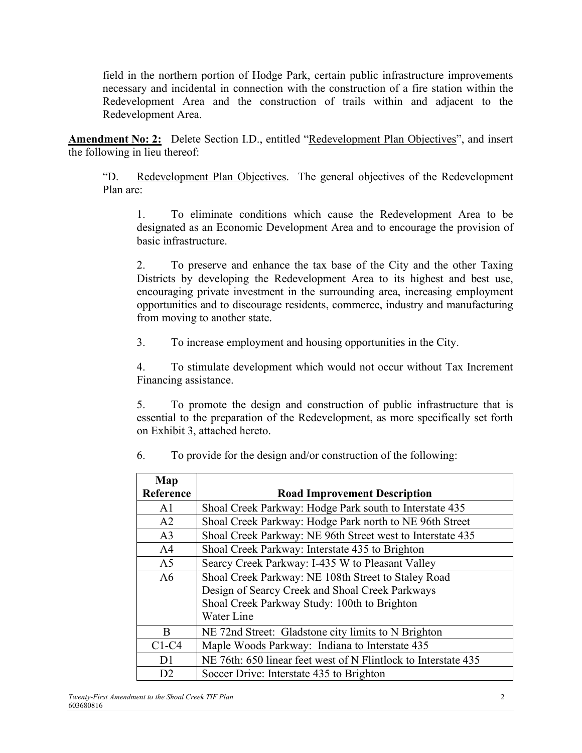field in the northern portion of Hodge Park, certain public infrastructure improvements necessary and incidental in connection with the construction of a fire station within the Redevelopment Area and the construction of trails within and adjacent to the Redevelopment Area.

**Amendment No: 2:** Delete Section I.D., entitled "Redevelopment Plan Objectives", and insert the following in lieu thereof:

"D. Redevelopment Plan Objectives. The general objectives of the Redevelopment Plan are:

1. To eliminate conditions which cause the Redevelopment Area to be designated as an Economic Development Area and to encourage the provision of basic infrastructure.

2. To preserve and enhance the tax base of the City and the other Taxing Districts by developing the Redevelopment Area to its highest and best use, encouraging private investment in the surrounding area, increasing employment opportunities and to discourage residents, commerce, industry and manufacturing from moving to another state.

3. To increase employment and housing opportunities in the City.

4. To stimulate development which would not occur without Tax Increment Financing assistance.

5. To promote the design and construction of public infrastructure that is essential to the preparation of the Redevelopment, as more specifically set forth on Exhibit 3, attached hereto.

| Map            |                                                                |  |
|----------------|----------------------------------------------------------------|--|
| Reference      | <b>Road Improvement Description</b>                            |  |
| A <sub>1</sub> | Shoal Creek Parkway: Hodge Park south to Interstate 435        |  |
| A <sub>2</sub> | Shoal Creek Parkway: Hodge Park north to NE 96th Street        |  |
| A <sub>3</sub> | Shoal Creek Parkway: NE 96th Street west to Interstate 435     |  |
| A <sub>4</sub> | Shoal Creek Parkway: Interstate 435 to Brighton                |  |
| A <sub>5</sub> | Searcy Creek Parkway: I-435 W to Pleasant Valley               |  |
| A6             | Shoal Creek Parkway: NE 108th Street to Staley Road            |  |
|                | Design of Searcy Creek and Shoal Creek Parkways                |  |
|                | Shoal Creek Parkway Study: 100th to Brighton                   |  |
|                | Water Line                                                     |  |
| <sub>R</sub>   | NE 72nd Street: Gladstone city limits to N Brighton            |  |
| $C1-C4$        | Maple Woods Parkway: Indiana to Interstate 435                 |  |
| D <sub>1</sub> | NE 76th: 650 linear feet west of N Flintlock to Interstate 435 |  |
| D2             | Soccer Drive: Interstate 435 to Brighton                       |  |

6. To provide for the design and/or construction of the following: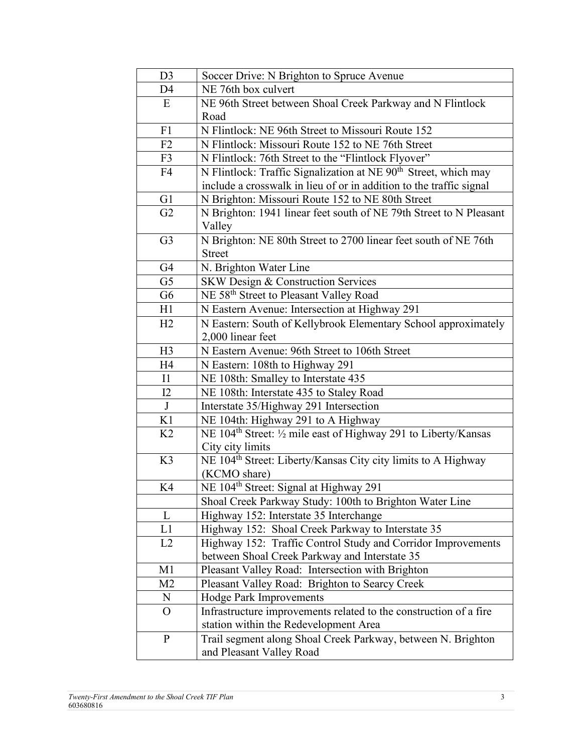| D <sub>3</sub> | Soccer Drive: N Brighton to Spruce Avenue                                   |  |  |
|----------------|-----------------------------------------------------------------------------|--|--|
| D <sub>4</sub> | NE 76th box culvert                                                         |  |  |
| E              | NE 96th Street between Shoal Creek Parkway and N Flintlock                  |  |  |
|                | Road                                                                        |  |  |
| F1             | N Flintlock: NE 96th Street to Missouri Route 152                           |  |  |
| F2             | N Flintlock: Missouri Route 152 to NE 76th Street                           |  |  |
| F <sub>3</sub> | N Flintlock: 76th Street to the "Flintlock Flyover"                         |  |  |
| F <sub>4</sub> | N Flintlock: Traffic Signalization at NE 90 <sup>th</sup> Street, which may |  |  |
|                | include a crosswalk in lieu of or in addition to the traffic signal         |  |  |
| G <sub>1</sub> | N Brighton: Missouri Route 152 to NE 80th Street                            |  |  |
| G2             | N Brighton: 1941 linear feet south of NE 79th Street to N Pleasant          |  |  |
|                | Valley                                                                      |  |  |
| G <sub>3</sub> | N Brighton: NE 80th Street to 2700 linear feet south of NE 76th             |  |  |
|                | <b>Street</b>                                                               |  |  |
| G <sub>4</sub> | N. Brighton Water Line                                                      |  |  |
| G <sub>5</sub> | <b>SKW Design &amp; Construction Services</b>                               |  |  |
| G <sub>6</sub> | NE 58 <sup>th</sup> Street to Pleasant Valley Road                          |  |  |
| H1             | N Eastern Avenue: Intersection at Highway 291                               |  |  |
| H2             | N Eastern: South of Kellybrook Elementary School approximately              |  |  |
|                | 2,000 linear feet                                                           |  |  |
| H3             | N Eastern Avenue: 96th Street to 106th Street                               |  |  |
| H4             | N Eastern: 108th to Highway 291                                             |  |  |
| I1             | NE 108th: Smalley to Interstate 435                                         |  |  |
| I2             | NE 108th: Interstate 435 to Staley Road                                     |  |  |
| J              | Interstate 35/Highway 291 Intersection                                      |  |  |
| K1             | NE 104th: Highway 291 to A Highway                                          |  |  |
| K <sub>2</sub> | NE 104 <sup>th</sup> Street: 1/2 mile east of Highway 291 to Liberty/Kansas |  |  |
|                | City city limits                                                            |  |  |
| K3             | NE 104 <sup>th</sup> Street: Liberty/Kansas City city limits to A Highway   |  |  |
|                | (KCMO share)                                                                |  |  |
| K <sub>4</sub> | NE 104 <sup>th</sup> Street: Signal at Highway 291                          |  |  |
|                | Shoal Creek Parkway Study: 100th to Brighton Water Line                     |  |  |
| L              | Highway 152: Interstate 35 Interchange                                      |  |  |
| L1             | Highway 152: Shoal Creek Parkway to Interstate 35                           |  |  |
| L2             | Highway 152: Traffic Control Study and Corridor Improvements                |  |  |
|                | between Shoal Creek Parkway and Interstate 35                               |  |  |
| M1             | Pleasant Valley Road: Intersection with Brighton                            |  |  |
| M2             | Pleasant Valley Road: Brighton to Searcy Creek                              |  |  |
| N              | <b>Hodge Park Improvements</b>                                              |  |  |
| $\overline{O}$ | Infrastructure improvements related to the construction of a fire           |  |  |
|                | station within the Redevelopment Area                                       |  |  |
| $\mathbf{P}$   | Trail segment along Shoal Creek Parkway, between N. Brighton                |  |  |
|                | and Pleasant Valley Road                                                    |  |  |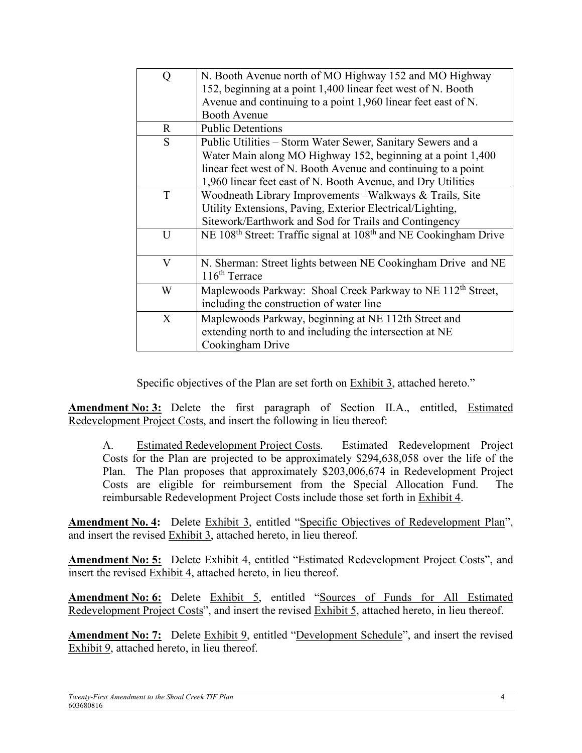| Q            | N. Booth Avenue north of MO Highway 152 and MO Highway<br>152, beginning at a point 1,400 linear feet west of N. Booth |  |  |  |
|--------------|------------------------------------------------------------------------------------------------------------------------|--|--|--|
|              | Avenue and continuing to a point 1,960 linear feet east of N.<br><b>Booth Avenue</b>                                   |  |  |  |
| $\mathbf{R}$ | <b>Public Detentions</b>                                                                                               |  |  |  |
|              |                                                                                                                        |  |  |  |
| S            | Public Utilities – Storm Water Sewer, Sanitary Sewers and a                                                            |  |  |  |
|              | Water Main along MO Highway 152, beginning at a point 1,400                                                            |  |  |  |
|              | linear feet west of N. Booth Avenue and continuing to a point                                                          |  |  |  |
|              | 1,960 linear feet east of N. Booth Avenue, and Dry Utilities                                                           |  |  |  |
| T            | Woodneath Library Improvements – Walkways & Trails, Site                                                               |  |  |  |
|              | Utility Extensions, Paving, Exterior Electrical/Lighting,                                                              |  |  |  |
|              | Sitework/Earthwork and Sod for Trails and Contingency                                                                  |  |  |  |
| U            | NE 108 <sup>th</sup> Street: Traffic signal at 108 <sup>th</sup> and NE Cookingham Drive                               |  |  |  |
| V            | N. Sherman: Street lights between NE Cookingham Drive and NE                                                           |  |  |  |
|              | $116th$ Terrace                                                                                                        |  |  |  |
|              |                                                                                                                        |  |  |  |
| W            | Maplewoods Parkway: Shoal Creek Parkway to NE 112 <sup>th</sup> Street,                                                |  |  |  |
|              | including the construction of water line                                                                               |  |  |  |
| $\mathbf{X}$ | Maplewoods Parkway, beginning at NE 112th Street and                                                                   |  |  |  |
|              | extending north to and including the intersection at NE                                                                |  |  |  |
|              | Cookingham Drive                                                                                                       |  |  |  |

Specific objectives of the Plan are set forth on Exhibit 3, attached hereto."

**Amendment No: 3:** Delete the first paragraph of Section II.A., entitled, Estimated Redevelopment Project Costs, and insert the following in lieu thereof:

A. Estimated Redevelopment Project Costs. Estimated Redevelopment Project Costs for the Plan are projected to be approximately \$294,638,058 over the life of the Plan. The Plan proposes that approximately \$203,006,674 in Redevelopment Project Costs are eligible for reimbursement from the Special Allocation Fund. The reimbursable Redevelopment Project Costs include those set forth in Exhibit 4.

**Amendment No. 4:** Delete Exhibit 3, entitled "Specific Objectives of Redevelopment Plan", and insert the revised Exhibit 3, attached hereto, in lieu thereof.

**Amendment No: 5:** Delete Exhibit 4, entitled "Estimated Redevelopment Project Costs", and insert the revised Exhibit 4, attached hereto, in lieu thereof.

**Amendment No: 6:** Delete Exhibit 5, entitled "Sources of Funds for All Estimated Redevelopment Project Costs", and insert the revised Exhibit 5, attached hereto, in lieu thereof.

**Amendment No: 7:** Delete Exhibit 9, entitled "Development Schedule", and insert the revised Exhibit 9, attached hereto, in lieu thereof.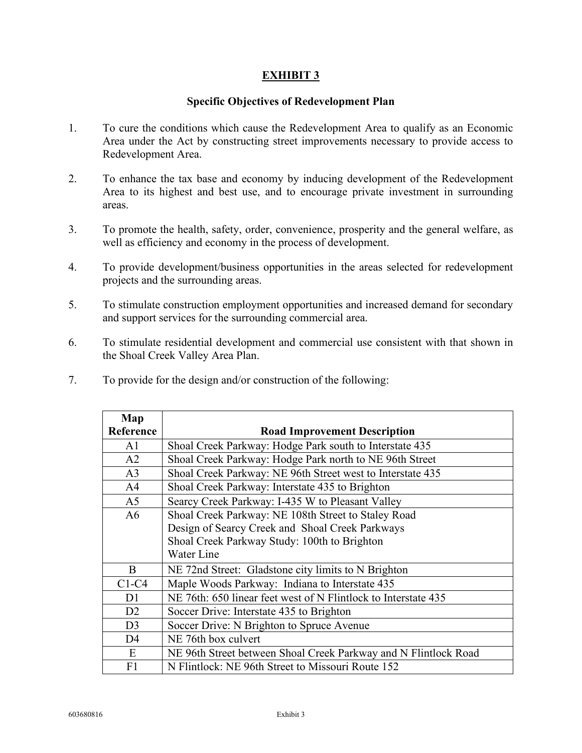#### **Specific Objectives of Redevelopment Plan**

- 1. To cure the conditions which cause the Redevelopment Area to qualify as an Economic Area under the Act by constructing street improvements necessary to provide access to Redevelopment Area.
- 2. To enhance the tax base and economy by inducing development of the Redevelopment Area to its highest and best use, and to encourage private investment in surrounding areas.
- 3. To promote the health, safety, order, convenience, prosperity and the general welfare, as well as efficiency and economy in the process of development.
- 4. To provide development/business opportunities in the areas selected for redevelopment projects and the surrounding areas.
- 5. To stimulate construction employment opportunities and increased demand for secondary and support services for the surrounding commercial area.
- 6. To stimulate residential development and commercial use consistent with that shown in the Shoal Creek Valley Area Plan.
- 7. To provide for the design and/or construction of the following:

| Map            |                                                                 |  |
|----------------|-----------------------------------------------------------------|--|
| Reference      | <b>Road Improvement Description</b>                             |  |
| A <sub>1</sub> | Shoal Creek Parkway: Hodge Park south to Interstate 435         |  |
| A <sub>2</sub> | Shoal Creek Parkway: Hodge Park north to NE 96th Street         |  |
| A <sub>3</sub> | Shoal Creek Parkway: NE 96th Street west to Interstate 435      |  |
| A <sup>4</sup> | Shoal Creek Parkway: Interstate 435 to Brighton                 |  |
| A <sub>5</sub> | Searcy Creek Parkway: I-435 W to Pleasant Valley                |  |
| A6             | Shoal Creek Parkway: NE 108th Street to Staley Road             |  |
|                | Design of Searcy Creek and Shoal Creek Parkways                 |  |
|                | Shoal Creek Parkway Study: 100th to Brighton                    |  |
|                | Water Line                                                      |  |
| B              | NE 72nd Street: Gladstone city limits to N Brighton             |  |
| $C1-C4$        | Maple Woods Parkway: Indiana to Interstate 435                  |  |
| D1             | NE 76th: 650 linear feet west of N Flintlock to Interstate 435  |  |
| D2             | Soccer Drive: Interstate 435 to Brighton                        |  |
| D <sub>3</sub> | Soccer Drive: N Brighton to Spruce Avenue                       |  |
| D <sub>4</sub> | NE 76th box culvert                                             |  |
| E              | NE 96th Street between Shoal Creek Parkway and N Flintlock Road |  |
| F1             | N Flintlock: NE 96th Street to Missouri Route 152               |  |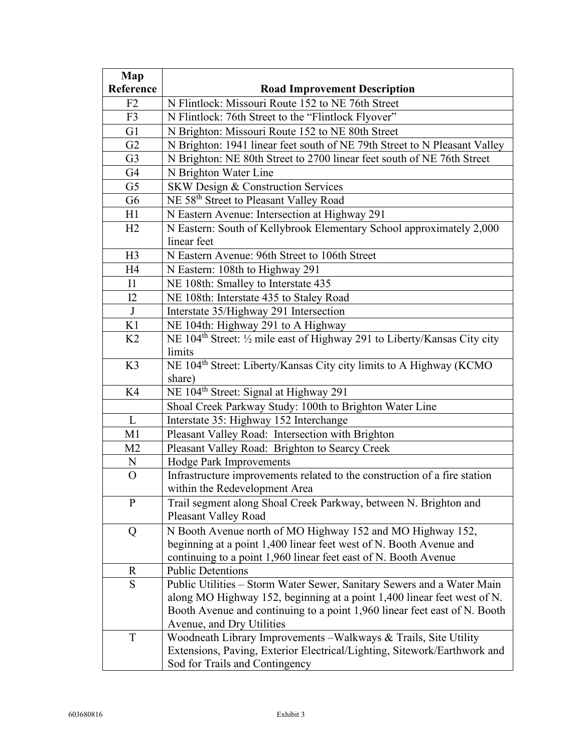| Map            |                                                                                       |  |  |  |
|----------------|---------------------------------------------------------------------------------------|--|--|--|
| Reference      | <b>Road Improvement Description</b>                                                   |  |  |  |
| F2             | N Flintlock: Missouri Route 152 to NE 76th Street                                     |  |  |  |
| F <sub>3</sub> | N Flintlock: 76th Street to the "Flintlock Flyover"                                   |  |  |  |
| G1             | N Brighton: Missouri Route 152 to NE 80th Street                                      |  |  |  |
| G2             | N Brighton: 1941 linear feet south of NE 79th Street to N Pleasant Valley             |  |  |  |
| G <sub>3</sub> | N Brighton: NE 80th Street to 2700 linear feet south of NE 76th Street                |  |  |  |
| G4             | N Brighton Water Line                                                                 |  |  |  |
| G <sub>5</sub> | SKW Design & Construction Services                                                    |  |  |  |
| G <sub>6</sub> | NE 58 <sup>th</sup> Street to Pleasant Valley Road                                    |  |  |  |
| H1             | N Eastern Avenue: Intersection at Highway 291                                         |  |  |  |
| H2             | N Eastern: South of Kellybrook Elementary School approximately 2,000                  |  |  |  |
|                | linear feet                                                                           |  |  |  |
| H <sub>3</sub> | N Eastern Avenue: 96th Street to 106th Street                                         |  |  |  |
| H <sub>4</sub> | N Eastern: 108th to Highway 291                                                       |  |  |  |
| I1             | NE 108th: Smalley to Interstate 435                                                   |  |  |  |
| I2             | NE 108th: Interstate 435 to Staley Road                                               |  |  |  |
| $\mathbf{J}$   | Interstate 35/Highway 291 Intersection                                                |  |  |  |
| K1             | NE 104th: Highway 291 to A Highway                                                    |  |  |  |
| K <sub>2</sub> | NE 104 <sup>th</sup> Street: 1/2 mile east of Highway 291 to Liberty/Kansas City city |  |  |  |
|                | limits                                                                                |  |  |  |
| K3             | NE 104 <sup>th</sup> Street: Liberty/Kansas City city limits to A Highway (KCMO       |  |  |  |
|                | share)                                                                                |  |  |  |
| K4             | NE 104 <sup>th</sup> Street: Signal at Highway 291                                    |  |  |  |
|                | Shoal Creek Parkway Study: 100th to Brighton Water Line                               |  |  |  |
| L              | Interstate 35: Highway 152 Interchange                                                |  |  |  |
| M1             | Pleasant Valley Road: Intersection with Brighton                                      |  |  |  |
| M <sub>2</sub> | Pleasant Valley Road: Brighton to Searcy Creek                                        |  |  |  |
| N              | Hodge Park Improvements                                                               |  |  |  |
| $\overline{O}$ | Infrastructure improvements related to the construction of a fire station             |  |  |  |
|                | within the Redevelopment Area                                                         |  |  |  |
| P              | Trail segment along Shoal Creek Parkway, between N. Brighton and                      |  |  |  |
|                | Pleasant Valley Road                                                                  |  |  |  |
| Q              | N Booth Avenue north of MO Highway 152 and MO Highway 152,                            |  |  |  |
|                | beginning at a point 1,400 linear feet west of N. Booth Avenue and                    |  |  |  |
|                | continuing to a point 1,960 linear feet east of N. Booth Avenue                       |  |  |  |
| R              | <b>Public Detentions</b>                                                              |  |  |  |
| S              | Public Utilities - Storm Water Sewer, Sanitary Sewers and a Water Main                |  |  |  |
|                | along MO Highway 152, beginning at a point 1,400 linear feet west of N.               |  |  |  |
|                | Booth Avenue and continuing to a point 1,960 linear feet east of N. Booth             |  |  |  |
|                | Avenue, and Dry Utilities                                                             |  |  |  |
| $\mathbf T$    | Woodneath Library Improvements - Walkways & Trails, Site Utility                      |  |  |  |
|                | Extensions, Paving, Exterior Electrical/Lighting, Sitework/Earthwork and              |  |  |  |
|                | Sod for Trails and Contingency                                                        |  |  |  |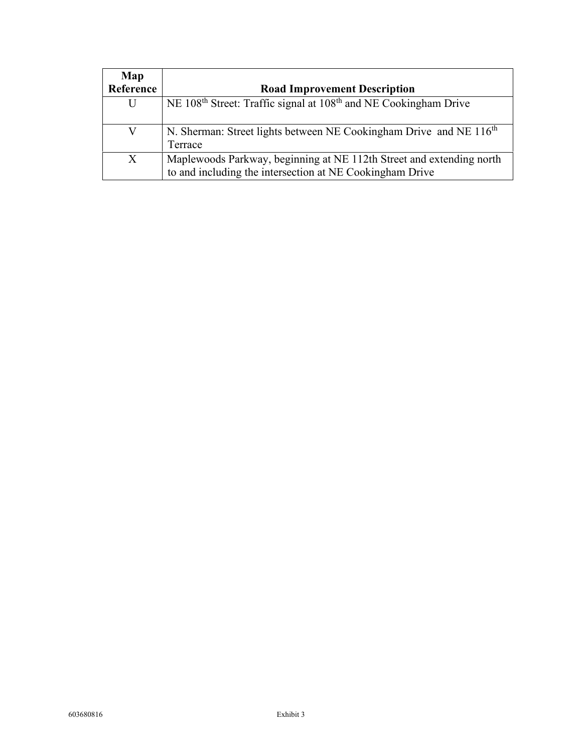| Map       |                                                                                                                                  |  |  |
|-----------|----------------------------------------------------------------------------------------------------------------------------------|--|--|
| Reference | <b>Road Improvement Description</b>                                                                                              |  |  |
| U         | NE 108 <sup>th</sup> Street: Traffic signal at 108 <sup>th</sup> and NE Cookingham Drive                                         |  |  |
|           | N. Sherman: Street lights between NE Cookingham Drive and NE 116 <sup>th</sup><br>Terrace                                        |  |  |
| X         | Maplewoods Parkway, beginning at NE 112th Street and extending north<br>to and including the intersection at NE Cookingham Drive |  |  |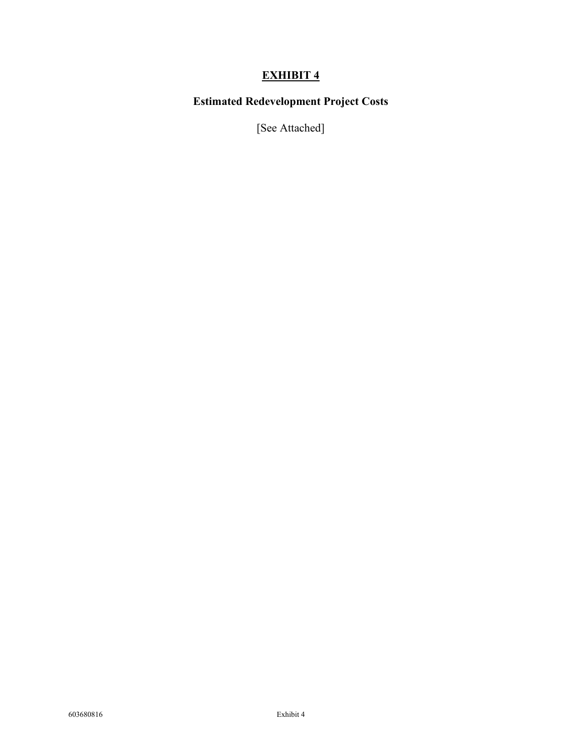# **Estimated Redevelopment Project Costs**

[See Attached]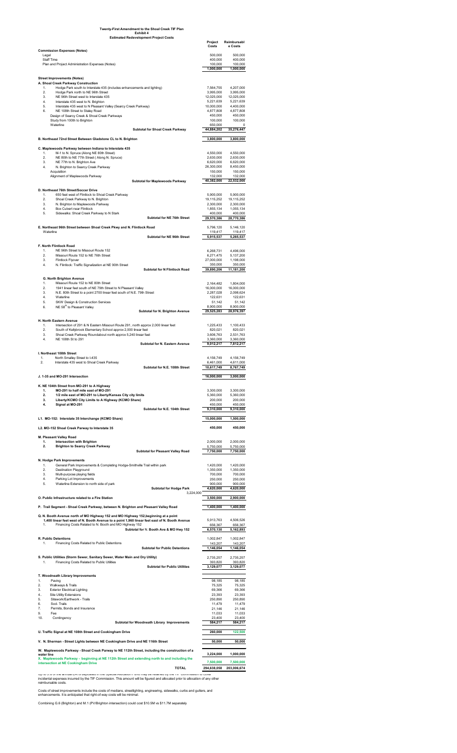| 3.                                                        | <b>Exterior Electrical Lighting</b>                                                                                                  | 69,366      | 69,366      |
|-----------------------------------------------------------|--------------------------------------------------------------------------------------------------------------------------------------|-------------|-------------|
| 4                                                         | <b>Site Utility Extensions</b>                                                                                                       | 23,393      | 23,393      |
| 5.                                                        | Sitework/Earthwork - Trails                                                                                                          | 250,890     | 250,890     |
| 6.                                                        | Sod-Trails                                                                                                                           | 11,479      | 11,479      |
| 7.                                                        | Permits, Bonds and Insurance                                                                                                         | 21,146      | 21,146      |
| 9.                                                        | Fee                                                                                                                                  | 11,033      | 11,033      |
| 10.                                                       | Contingency                                                                                                                          | 23,400      | 23,400      |
|                                                           | <b>Subtotal for Woodneath Library Improvements</b>                                                                                   | 584,217     | 584,217     |
| U. Traffic Signal at NE 108th Street and Cookingham Drive |                                                                                                                                      |             | 122,500     |
|                                                           | V. N. Sherman - Street Lights between NE Cookingham Drive and NE 116th Street                                                        | 50,000      | 50,000      |
| water line                                                | W. Maplewoods Parkway - Shoal Creek Parway to NE 112th Street, including the construction of a                                       | 3,224,000   | 1,000,000   |
|                                                           | X. Maplewoods Parkway - beginning at NE 112th Street and extending north to and including the<br>intersection at NE Cookingham Drive | 7,500,000   | 7,500,000   |
|                                                           | <b>TOTAL</b>                                                                                                                         | 294,638,058 | 203,006,674 |

|                                                                                                                                                                  | <b>Project</b><br><b>Costs</b> | Reimbursabl<br>e Costs  |
|------------------------------------------------------------------------------------------------------------------------------------------------------------------|--------------------------------|-------------------------|
| <b>Commission Expenses (Notes)</b><br>Legal                                                                                                                      | 500,000                        | 500,000                 |
| <b>Staff Time</b><br>Plan and Project Administration Expenses (Notes)                                                                                            | 400,000<br>100,000             | 400,000<br>100,000      |
|                                                                                                                                                                  | 1,000,000                      | 1,000,000               |
| <b>Street Improvements (Notes)</b>                                                                                                                               |                                |                         |
| A. Shoal Creek Parkway Construction<br>Hodge Park south to Interstate 435 (includes enhancements and lighting)<br>1.                                             | 7,564,755                      | 4,207,000               |
| 2.<br>Hodge Park north to NE 96th Street<br>NE 96th Street west to Interstate 435<br>3.                                                                          | 3,995,000<br>12,025,000        | 3,995,000<br>12,025,000 |
| Interstate 435 west to N. Brighton<br>4.                                                                                                                         | 5,221,639                      | 5,221,639               |
| 5.<br>Interstate 435 west to N Pleasant Valley (Searcy Creek Parkway)<br>6.<br>NE 108th Street to Staley Road                                                    | 10,000,000<br>4,877,808        | 4,400,000<br>4,877,808  |
| Design of Searcy Creek & Shoal Creek Parkways                                                                                                                    | 450,000                        | 450,000                 |
| Study from 100th to Brighton<br>Waterline                                                                                                                        | 100,000<br>650,000             | 100,000<br>0            |
| <b>Subtotal for Shoal Creek Parkway</b>                                                                                                                          | 44,884,202                     | 35,276,447              |
| B. Northeast 72nd Street Between Gladstone CL to N. Brighton                                                                                                     | 3,800,000                      | 3,800,000               |
| C. Maplewoods Parkway between Indiana to Interstate 435                                                                                                          |                                |                         |
| M-1 to N. Spruce (Along NE 80th Street)<br>1.<br>2.<br>NE 80th to NE 77th Street (Along N. Spruce)                                                               | 4,550,000<br>2,630,000         | 4,550,000<br>2,630,000  |
| 3.<br>NE 77th to N. Brighton Ave                                                                                                                                 | 6,620,000                      | 6,620,000               |
| N. Brighton to Searcy Creek Parkway<br>4.<br>Acquisition                                                                                                         | 26,300,000<br>150,000          | 8,450,000<br>150,000    |
| Alignment of Maplewoods Parkway<br><b>Subtotal for Maplewoods Parkway</b>                                                                                        | 132,000<br>40,382,000          | 132,000<br>22,532,000   |
|                                                                                                                                                                  |                                |                         |
| D. Northeast 76th Street/Soccer Drive<br>650 feet west of Flintlock to Shoal Creek Parkway<br>1.                                                                 | 5,900,000                      | 5,900,000               |
| 2.<br>Shoal Creek Parkway to N. Brighton<br>3.<br>N. Brighton to Maplewoods Parkway                                                                              | 19,115,252<br>2,300,000        | 19,115,252<br>2,300,000 |
| <b>Box Culvert near Flintlock</b><br>4.                                                                                                                          | 1,855,134                      | 1,055,134               |
| Sidewalks: Shoal Creek Parkway to N Stark<br>5.<br><b>Subtotal for NE 76th Street</b>                                                                            | 400,000<br>29,570,386          | 400,000<br>28,770,386   |
|                                                                                                                                                                  |                                |                         |
| E. Northeast 96th Street between Shoal Creek Pkwy and N. Flintlock Road<br>Waterline                                                                             | 5,796,120<br>119,417           | 5,146,120<br>119,417    |
| <b>Subtotal for NE 96th Street</b>                                                                                                                               | 5,915,537                      | 5,265,537               |
| <b>F. North Flintlock Road</b>                                                                                                                                   |                                |                         |
| NE 96th Street to Missouri Route 152<br>1.<br>2.<br>Missouri Route 152 to NE 76th Street                                                                         | 6,268,731<br>6,271,475         | 4,496,000<br>5,137,200  |
| 3.<br><b>Flintlock Flyover</b>                                                                                                                                   | 27,000,000                     | 1,198,000               |
| N. Flintlock: Traffic Signalization at NE 90th Street<br>4.<br><b>Subtotal for N Flintlock Road</b>                                                              | 350,000<br>39,890,206          | 350,000<br>11,181,200   |
| <b>G. North Brighton Avenue</b>                                                                                                                                  |                                |                         |
| Missouri Route 152 to NE 80th Street<br>1.                                                                                                                       | 2,164,482                      | 1,804,000               |
| 2.<br>1941 linear feet south of NE 79th Street to N Pleasant Valley<br>3.<br>N.E. 80th Street to a point 2700 linear feet south of N.E. 79th Street              | 16,000,000<br>2,287,028        | 16,000,000<br>2,098,624 |
| Waterline<br>4.                                                                                                                                                  | 122,631                        | 122,631                 |
| <b>SKW Design &amp; Construction Services</b><br>5.<br>NE 58 <sup>th</sup> to Pleasant Valley<br>6.                                                              | 51,142<br>8,900,000            | 51,142<br>8,900,000     |
| <b>Subtotal for N. Brighton Avenue</b>                                                                                                                           | 29,525,283                     | 28,976,397              |
| H. North Eastern Avenue                                                                                                                                          |                                |                         |
| Intersection of 291 & N Eastern Missouri Route 291, north approx 2,000 linear feet<br>1.<br>South of Kellybrook Elementary School approx 2,000 linear feet<br>2. | 1,225,433<br>820,021           | 1,100,433<br>820,021    |
| 3.<br>Shoal Creek Parkway Roundabout north approx 5,240 linear feet<br>NE 108th St to 291<br>4.                                                                  | 3,606,763<br>3,360,000         | 2,531,763<br>3,360,000  |
| <b>Subtotal for N. Eastern Avenue</b>                                                                                                                            | 9,012,217                      | 7,812,217               |
| I. Northeast 108th Street                                                                                                                                        |                                |                         |
| North Smalley Street to I-435<br>1.<br>2.<br>Interstate 435 west to Shoal Creek Parkway                                                                          | 4,156,749<br>6,461,000         | 4,156,749<br>4,611,000  |
| Subtotal for N.E. 108th Street                                                                                                                                   | 10,617,749                     | 8,767,749               |
| J. 1-35 and MO-291 Intersection                                                                                                                                  | 16,000,000                     | 3,000,000               |
| K. NE 104th Street from MO-291 to A Highway                                                                                                                      |                                |                         |
| MO-291 to half mile east of MO-291<br>1.                                                                                                                         | 3,300,000                      | 3,300,000               |
| 1/2 mile east of MO-291 to Liberty/Kansas City city limits<br>2.<br>Liberty/KCMO City Limits to A Highway (KCMO Share)<br>3.                                     | 5,360,000<br>200,000           | 5,360,000<br>200,000    |
| Signal at MO-291<br>4.<br>Subtotal for N.E. 104th Street                                                                                                         | 450,000<br>9,310,000           | 450,000<br>9,310,000    |
|                                                                                                                                                                  |                                |                         |
| L1. MO-152: Interstate 35 Interchange (KCMO Share)                                                                                                               | 15,000,000                     | 1,500,000               |
| L2. MO-152 Shoal Creek Parway to Interstate 35                                                                                                                   | 450,000                        | 450,000                 |
| <b>M. Pleasant Valley Road</b><br>1.                                                                                                                             |                                |                         |
| <b>Intersection with Brighton</b><br><b>Brighton to Searcy Creek Parkway</b><br>2.                                                                               | 2,000,000<br>5,750,000         | 2,000,000<br>5,750,000  |
| <b>Subtotal for Pleasant Valley Road</b>                                                                                                                         | 7,750,000                      | 7,750,000               |
| N. Hodge Park Improvements                                                                                                                                       |                                |                         |
| General Park Improvements & Completing Hodge-Smithville Trail within park<br>1.<br>2.<br><b>Destination Playground</b>                                           | 1,420,000<br>1,350,000         | 1,420,000<br>1,350,000  |
| 3.<br>Multi-purpose playing fields<br>Parking Lot Improvements<br>4.                                                                                             | 700,000<br>250,000             | 700,000<br>250,000      |
| 5.<br>Waterline Extension to north side of park                                                                                                                  | 900,000                        | 900,000                 |
| <b>Subtotal for Hodge Park</b><br>3,224,000                                                                                                                      | 4,620,000                      | 4,620,000               |
| O. Public Infrastructure related to a Fire Station                                                                                                               | 3,500,000                      | 2,900,000               |
| P. Trail Segment - Shoal Creek Parkway, between N. Brighton and Pleasant Valley Road                                                                             | 1,400,000                      | 1,400,000               |
| Q. N. Booth Avenue north of MO Highway 152 and MO Highway 152, beginning at a point                                                                              |                                |                         |
| 1,400 linear feet west of N. Booth Avenue to a point 1,960 linear feet east of N. Booth Avenue<br>Financing Costs Related to N. Booth and MO Highway 152<br>1.   | 5,913,763<br>656,367           | 4,506,526<br>656,367    |
| Subtotal for N. Booth Ave & MO Hwy 152                                                                                                                           | 6,570,130                      | 5,162,893               |
| <b>R. Public Detentions</b>                                                                                                                                      | 1,002,847                      | 1,002,847               |
| Financing Costs Related to Public Detentions<br>1 <sub>1</sub><br><b>Subtotal for Public Detentions</b>                                                          | 143,207<br>1,146,054           | 143,207<br>1,146,054    |
|                                                                                                                                                                  |                                |                         |
| S. Public Utilities (Storm Sewer, Sanitary Sewer, Water Main and Dry Utility)<br><b>Financing Costs Related to Public Utilities</b><br>1.                        | 2,735,257<br>393,820           | 2,735,257<br>393,820    |
| <b>Subtotal for Public Utilities</b>                                                                                                                             | 3,129,077                      | 3,129,077               |
| T. Woodneath Library Improvements                                                                                                                                |                                |                         |
| 1.<br>Paving<br>Walkways & Trails<br>2.                                                                                                                          | 98,185<br>75,325               | 98,185<br>75,325        |

Up to 5% of the annual EATs deposited in the Special Allocation Fund may be retained by the TIF Commission to cover incidental expenses incurred by the TIF Commission. This amount will be figured and allocated prior to allocation of any other reimbursable costs.

Costs of street improvements include the costs of medians, streetlighting, engineering, sidewalks, curbs and gutters, and enhancements. It is anticipated that right-of-way costs will be minimal.

Combining G.6 (Brighton) and M.1 (PV/Brighton intersection) could cost \$10.5M vs \$11.7M separately

#### **Twenty-First Amendment to the Shoal Creek TIF Plan Exhibit 4 Estimated Redevelopment Project Costs**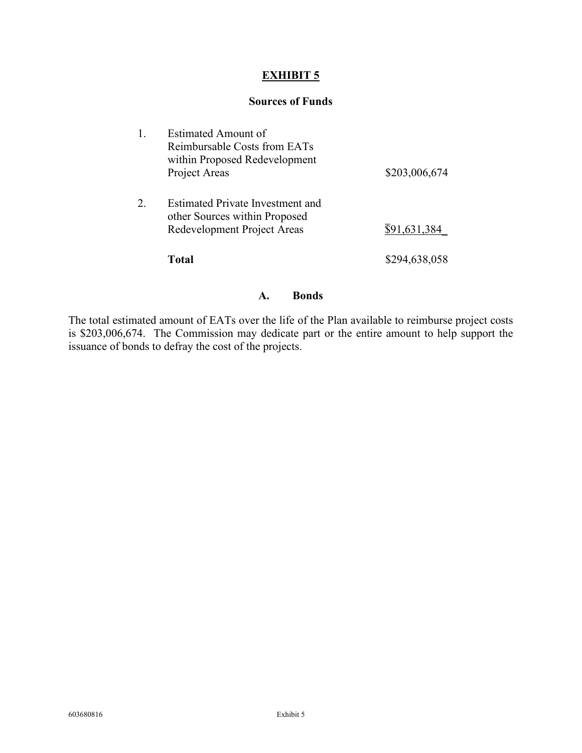#### **Sources of Funds**

|    | Estimated Amount of<br>Reimbursable Costs from EATs<br>within Proposed Redevelopment<br>Project Areas | \$203,006,674             |
|----|-------------------------------------------------------------------------------------------------------|---------------------------|
| 2. | Estimated Private Investment and<br>other Sources within Proposed<br>Redevelopment Project Areas      | $\overline{\$91,631,384}$ |
|    | Total                                                                                                 | \$294,638,058             |

#### **A. Bonds**

The total estimated amount of EATs over the life of the Plan available to reimburse project costs is \$203,006,674. The Commission may dedicate part or the entire amount to help support the issuance of bonds to defray the cost of the projects.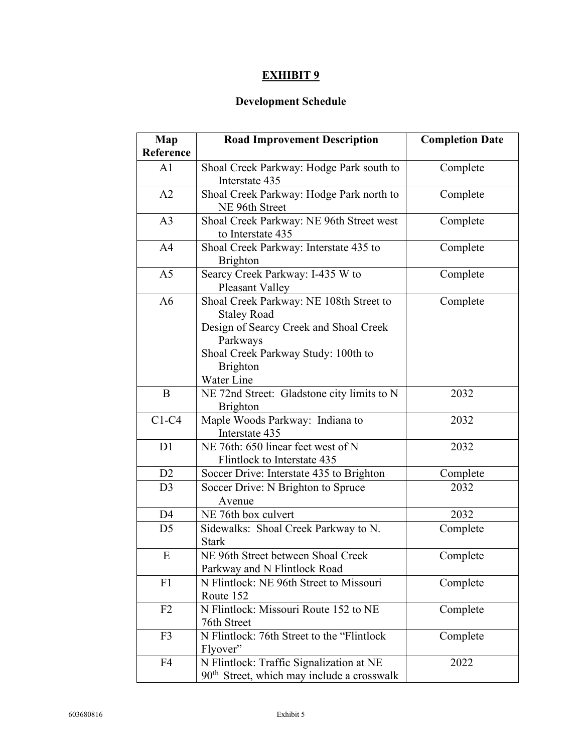# **Development Schedule**

| Map            | <b>Road Improvement Description</b>                                                                                                                                                         | <b>Completion Date</b> |
|----------------|---------------------------------------------------------------------------------------------------------------------------------------------------------------------------------------------|------------------------|
| Reference      |                                                                                                                                                                                             |                        |
| A1             | Shoal Creek Parkway: Hodge Park south to<br>Interstate 435                                                                                                                                  | Complete               |
| A2             | Shoal Creek Parkway: Hodge Park north to<br>NE 96th Street                                                                                                                                  | Complete               |
| A <sub>3</sub> | Shoal Creek Parkway: NE 96th Street west<br>to Interstate 435                                                                                                                               | Complete               |
| A <sub>4</sub> | Shoal Creek Parkway: Interstate 435 to<br>Brighton                                                                                                                                          | Complete               |
| A <sub>5</sub> | Searcy Creek Parkway: I-435 W to<br>Pleasant Valley                                                                                                                                         | Complete               |
| A6             | Shoal Creek Parkway: NE 108th Street to<br><b>Staley Road</b><br>Design of Searcy Creek and Shoal Creek<br>Parkways<br>Shoal Creek Parkway Study: 100th to<br><b>Brighton</b><br>Water Line | Complete               |
| B              | NE 72nd Street: Gladstone city limits to N<br><b>Brighton</b>                                                                                                                               | 2032                   |
| $C1-C4$        | Maple Woods Parkway: Indiana to<br>Interstate 435                                                                                                                                           | 2032                   |
| D1             | NE 76th: 650 linear feet west of N<br>Flintlock to Interstate 435                                                                                                                           | 2032                   |
| D <sub>2</sub> | Soccer Drive: Interstate 435 to Brighton                                                                                                                                                    | Complete               |
| D <sub>3</sub> | Soccer Drive: N Brighton to Spruce<br>Avenue                                                                                                                                                | 2032                   |
| D <sub>4</sub> | NE 76th box culvert                                                                                                                                                                         | 2032                   |
| D <sub>5</sub> | Sidewalks: Shoal Creek Parkway to N.<br><b>Stark</b>                                                                                                                                        | Complete               |
| E              | NE 96th Street between Shoal Creek<br>Parkway and N Flintlock Road                                                                                                                          | Complete               |
| F1             | N Flintlock: NE 96th Street to Missouri<br>Route 152                                                                                                                                        | Complete               |
| F2             | N Flintlock: Missouri Route 152 to NE<br>76th Street                                                                                                                                        | Complete               |
| F <sub>3</sub> | N Flintlock: 76th Street to the "Flintlock"<br>Flyover"                                                                                                                                     | Complete               |
| F4             | N Flintlock: Traffic Signalization at NE<br>$90th$ Street, which may include a crosswalk                                                                                                    | 2022                   |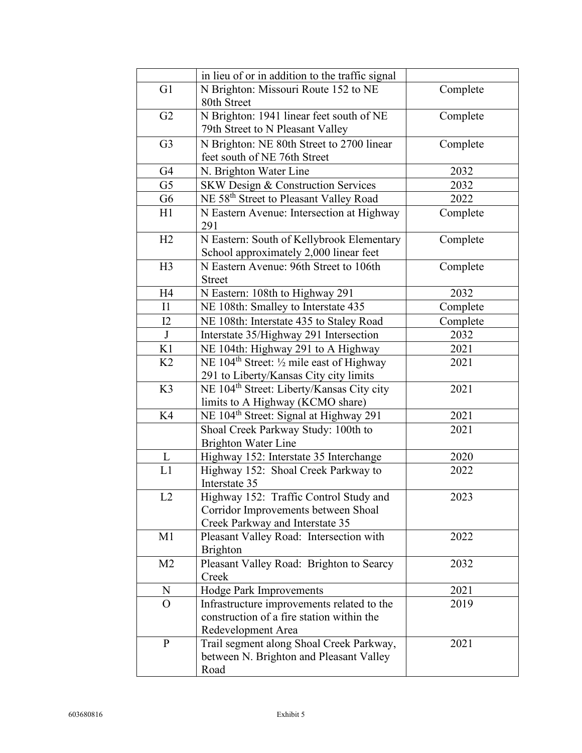|                | in lieu of or in addition to the traffic signal       |          |
|----------------|-------------------------------------------------------|----------|
| G1             | N Brighton: Missouri Route 152 to NE                  | Complete |
|                | 80th Street                                           |          |
| G2             | N Brighton: 1941 linear feet south of NE              | Complete |
|                | 79th Street to N Pleasant Valley                      |          |
| G <sub>3</sub> | N Brighton: NE 80th Street to 2700 linear             | Complete |
|                | feet south of NE 76th Street                          |          |
| G4             | N. Brighton Water Line                                | 2032     |
| G <sub>5</sub> | SKW Design & Construction Services                    | 2032     |
| G <sub>6</sub> | NE 58 <sup>th</sup> Street to Pleasant Valley Road    | 2022     |
| H1             | N Eastern Avenue: Intersection at Highway             | Complete |
|                | 291                                                   |          |
| H2             | N Eastern: South of Kellybrook Elementary             | Complete |
|                | School approximately 2,000 linear feet                |          |
| H3             | N Eastern Avenue: 96th Street to 106th                | Complete |
|                | <b>Street</b>                                         |          |
| H4             | N Eastern: 108th to Highway 291                       | 2032     |
| I1             | NE 108th: Smalley to Interstate 435                   | Complete |
| 12             | NE 108th: Interstate 435 to Staley Road               | Complete |
| J              | Interstate 35/Highway 291 Intersection                | 2032     |
| K1             | NE 104th: Highway 291 to A Highway                    | 2021     |
| K <sub>2</sub> | NE 104 <sup>th</sup> Street: 1/2 mile east of Highway | 2021     |
|                | 291 to Liberty/Kansas City city limits                |          |
| K3             | NE 104 <sup>th</sup> Street: Liberty/Kansas City city | 2021     |
|                | limits to A Highway (KCMO share)                      |          |
| K4             | NE 104 <sup>th</sup> Street: Signal at Highway 291    | 2021     |
|                | Shoal Creek Parkway Study: 100th to                   | 2021     |
|                | <b>Brighton Water Line</b>                            |          |
| L              | Highway 152: Interstate 35 Interchange                | 2020     |
| L1             | Highway 152: Shoal Creek Parkway to                   | 2022     |
|                | Interstate 35                                         |          |
| L2             | Highway 152: Traffic Control Study and                | 2023     |
|                | Corridor Improvements between Shoal                   |          |
|                | Creek Parkway and Interstate 35                       |          |
| M1             | Pleasant Valley Road: Intersection with               | 2022     |
|                | <b>Brighton</b>                                       |          |
| M <sub>2</sub> | Pleasant Valley Road: Brighton to Searcy              | 2032     |
|                | Creek                                                 |          |
| N              | Hodge Park Improvements                               | 2021     |
| $\overline{O}$ | Infrastructure improvements related to the            | 2019     |
|                | construction of a fire station within the             |          |
|                | Redevelopment Area                                    |          |
| P              | Trail segment along Shoal Creek Parkway,              | 2021     |
|                | between N. Brighton and Pleasant Valley               |          |
|                | Road                                                  |          |